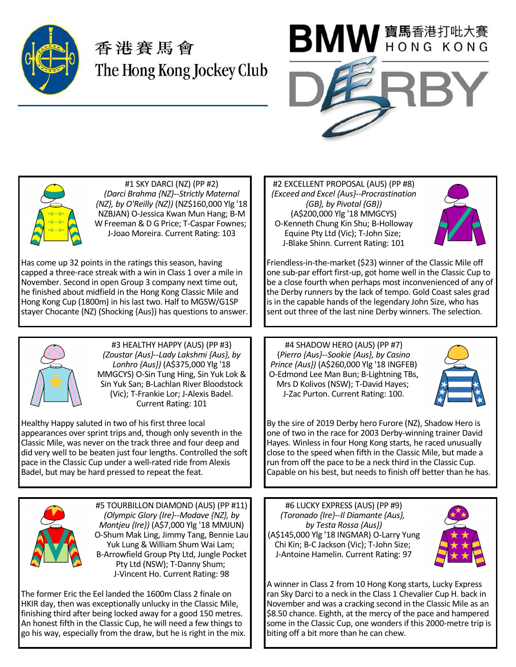

## 香港賽馬會 The Hong Kong Jockey Club





#1 SKY DARCI (NZ) (PP #2) *(Darci Brahma {NZ}--Strictly Maternal {NZ}, by O'Reilly {NZ})* (NZ\$160,000 Ylg '18 NZBJAN) O-Jessica Kwan Mun Hang; B-M W Freeman & D G Price; T-Caspar Fownes; J-Joao Moreira. Current Rating: 103

Has come up 32 points in the ratings this season, having capped a three-race streak with a win in Class 1 over a mile in November. Second in open Group 3 company next time out, he finished about midfield in the Hong Kong Classic Mile and Hong Kong Cup (1800m) in his last two. Half to MGSW/G1SP stayer Chocante (NZ) (Shocking {Aus}) has questions to answer.



#3 HEALTHY HAPPY (AUS) (PP #3) *(Zoustar {Aus}--Lady Lakshmi {Aus}, by Lonhro {Aus})* (A\$375,000 Ylg '18 MMGCYS) O-Sin Tung Hing, Sin Yuk Lok & Sin Yuk San; B-Lachlan River Bloodstock (Vic); T-Frankie Lor; J-Alexis Badel. Current Rating: 101

Healthy Happy saluted in two of his first three local appearances over sprint trips and, though only seventh in the Classic Mile, was never on the track three and four deep and did very well to be beaten just four lengths. Controlled the soft pace in the Classic Cup under a well-rated ride from Alexis Badel, but may be hard pressed to repeat the feat.



#5 TOURBILLON DIAMOND (AUS) (PP #11) *(Olympic Glory {Ire}--Modave {NZ}, by Montjeu {Ire})* (A\$7,000 Ylg '18 MMJUN) O-Shum Mak Ling, Jimmy Tang, Bennie Lau Yuk Lung & William Shum Wai Lam; B-Arrowfield Group Pty Ltd, Jungle Pocket Pty Ltd (NSW); T-Danny Shum; J-Vincent Ho. Current Rating: 98

The former Eric the Eel landed the 1600m Class 2 finale on HKIR day, then was exceptionally unlucky in the Classic Mile, finishing third after being locked away for a good 150 metres. An honest fifth in the Classic Cup, he will need a few things to go his way, especially from the draw, but he is right in the mix.

#2 EXCELLENT PROPOSAL (AUS) (PP #8) *(Exceed and Excel {Aus}--Procrastination {GB}, by Pivotal {GB})* (A\$200,000 Ylg '18 MMGCYS) O-Kenneth Chung Kin Shu; B-Holloway Equine Pty Ltd (Vic); T-John Size; J-Blake Shinn. Current Rating: 101



Friendless-in-the-market (\$23) winner of the Classic Mile off one sub-par effort first-up, got home well in the Classic Cup to be a close fourth when perhaps most inconvenienced of any of the Derby runners by the lack of tempo. Gold Coast sales grad is in the capable hands of the legendary John Size, who has sent out three of the last nine Derby winners. The selection.

#4 SHADOW HERO (AUS) (PP #7) (*Pierro {Aus}--Sookie {Aus}, by Casino Prince {Aus})* (A\$260,000 Ylg '18 INGFEB) O-Edmond Lee Man Bun; B-Lightning TBs, Mrs D Kolivos (NSW); T-David Hayes; J-Zac Purton. Current Rating: 100.



By the sire of 2019 Derby hero Furore (NZ), Shadow Hero is one of two in the race for 2003 Derby-winning trainer David Hayes. Winless in four Hong Kong starts, he raced unusually close to the speed when fifth in the Classic Mile, but made a run from off the pace to be a neck third in the Classic Cup. Capable on his best, but needs to finish off better than he has.

#6 LUCKY EXPRESS (AUS) (PP #9) *(Toronado {Ire}--Il Diamante {Aus}, by Testa Rossa {Aus})* (A\$145,000 Ylg '18 INGMAR) O-Larry Yung Chi Kin; B-C Jackson (Vic); T-John Size; J-Antoine Hamelin. Current Rating: 97



A winner in Class 2 from 10 Hong Kong starts, Lucky Express ran Sky Darci to a neck in the Class 1 Chevalier Cup H. back in November and was a cracking second in the Classic Mile as an \$8.50 chance. Eighth, at the mercy of the pace and hampered some in the Classic Cup, one wonders if this 2000-metre trip is biting off a bit more than he can chew.